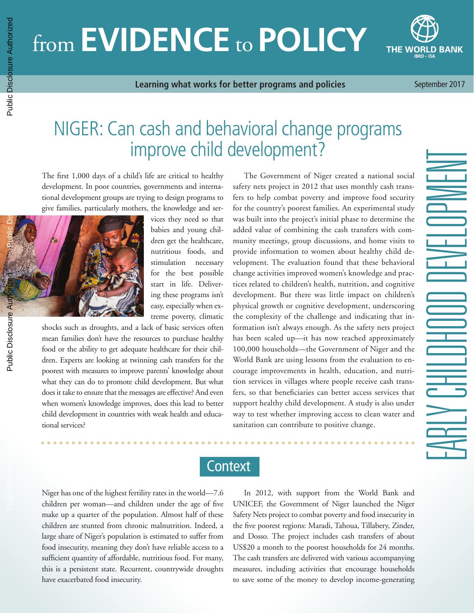# from **EVIDENCE** to **POLICY**



**Learning what works for better programs and policies**

September 2017

## NIGER: Can cash and behavioral change programs improve child development?

The first 1,000 days of a child's life are critical to healthy development. In poor countries, governments and international development groups are trying to design programs to give families, particularly mothers, the knowledge and ser-



vices they need so that babies and young children get the healthcare, nutritious foods, and stimulation necessary for the best possible start in life. Delivering these programs isn't easy, especially when extreme poverty, climatic

shocks such as droughts, and a lack of basic services often mean families don't have the resources to purchase healthy food or the ability to get adequate healthcare for their children. Experts are looking at twinning cash transfers for the poorest with measures to improve parents' knowledge about what they can do to promote child development. But what does it take to ensure that the messages are effective? And even when women's knowledge improves, does this lead to better child development in countries with weak health and educational services?

The Government of Niger created a national social safety nets project in 2012 that uses monthly cash transfers to help combat poverty and improve food security for the country's poorest families. An experimental study was built into the project's initial phase to determine the added value of combining the cash transfers with community meetings, group discussions, and home visits to provide information to women about healthy child development. The evaluation found that these behavioral change activities improved women's knowledge and practices related to children's health, nutrition, and cognitive development. But there was little impact on children's physical growth or cognitive development, underscoring the complexity of the challenge and indicating that information isn't always enough. As the safety nets project has been scaled up—it has now reached approximately 100,000 households—the Government of Niger and the World Bank are using lessons from the evaluation to encourage improvements in health, education, and nutrition services in villages where people receive cash transfers, so that beneficiaries can better access services that support healthy child development. A study is also under way to test whether improving access to clean water and sanitation can contribute to positive change.

**Context** 

Niger has one of the highest fertility rates in the world—7.6 children per woman—and children under the age of five make up a quarter of the population. Almost half of these children are stunted from chronic malnutrition. Indeed, a large share of Niger's population is estimated to suffer from food insecurity, meaning they don't have reliable access to a sufficient quantity of affordable, nutritious food. For many, this is a persistent state. Recurrent, countrywide droughts have exacerbated food insecurity.

In 2012, with support from the World Bank and UNICEF, the Government of Niger launched the Niger Safety Nets project to combat poverty and food insecurity in the five poorest regions: Maradi, Tahoua, Tillabery, Zinder, and Dosso. The project includes cash transfers of about US\$20 a month to the poorest households for 24 months. The cash transfers are delivered with various accompanying measures, including activities that encourage households to save some of the money to develop income-generating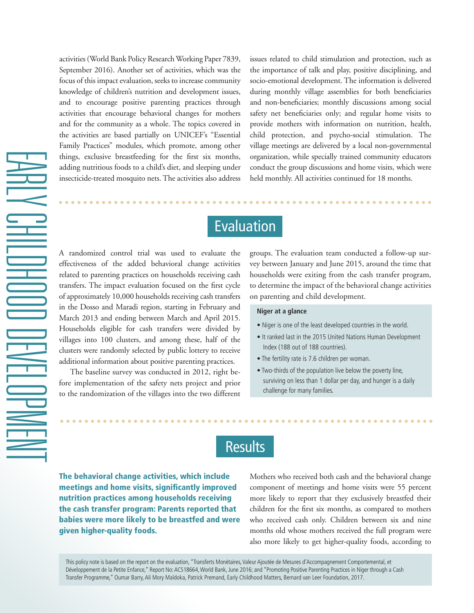activities [\(World Bank Policy Research Working Paper 7839,](http://documents.worldbank.org/curated/en/402771474989456640/pdf/WPS7839.pdf)  [September 2016\).](http://documents.worldbank.org/curated/en/402771474989456640/pdf/WPS7839.pdf) Another set of activities, which was the focus of this impact evaluation, seeks to increase community knowledge of children's nutrition and development issues, and to encourage positive parenting practices through activities that encourage behavioral changes for mothers and for the community as a whole. The topics covered in the activities are based partially on UNICEF's "Essential Family Practices" modules, which promote, among other things, exclusive breastfeeding for the first six months, adding nutritious foods to a child's diet, and sleeping under insecticide-treated mosquito nets. The activities also address

issues related to child stimulation and protection, such as the importance of talk and play, positive disciplining, and socio-emotional development. The information is delivered during monthly village assemblies for both beneficiaries and non-beneficiaries; monthly discussions among social safety net beneficiaries only; and regular home visits to provide mothers with information on nutrition, health, child protection, and psycho-social stimulation. The village meetings are delivered by a local non-governmental organization, while specially trained community educators conduct the group discussions and home visits, which were held monthly. All activities continued for 18 months.

## Evaluation

A randomized control trial was used to evaluate the effectiveness of the added behavioral change activities related to parenting practices on households receiving cash transfers. The impact evaluation focused on the first cycle of approximately 10,000 households receiving cash transfers in the Dosso and Maradi region, starting in February and March 2013 and ending between March and April 2015. Households eligible for cash transfers were divided by villages into 100 clusters, and among these, half of the clusters were randomly selected by public lottery to receive additional information about positive parenting practices.

The baseline survey was conducted in 2012, right before implementation of the safety nets project and prior to the randomization of the villages into the two different groups. The evaluation team conducted a follow-up survey between January and June 2015, around the time that households were exiting from the cash transfer program, to determine the impact of the behavioral change activities on parenting and child development.

#### **Niger at a glance**

- Niger is one of the least developed countries in the world.
- It ranked last in the 2015 United Nations Human Development Index (188 out of 188 countries).
- The fertility rate is 7.6 children per woman.
- Two-thirds of the population live below the poverty line, surviving on less than 1 dollar per day, and hunger is a daily challenge for many families.

## **Results**

The behavioral change activities, which include meetings and home visits, significantly improved nutrition practices among households receiving the cash transfer program: Parents reported that babies were more likely to be breastfed and were given higher-quality foods.

Mothers who received both cash and the behavioral change component of meetings and home visits were 55 percent more likely to report that they exclusively breastfed their children for the first six months, as compared to mothers who received cash only. Children between six and nine months old whose mothers received the full program were also more likely to get higher-quality foods, according to

This policy note is based on the report on the evaluation, ["Transferts Monétaires, Valeur Ajoutée de Mesures d'Accompagnement Comportemental, et](http://documents.worldbank.org/curated/en/122221467609922455/pdf/ACS18664-FRENCH-77p-RapportdelEvaluationdImpactduProjetFiletsSociauxauNigerVersionFrancaise.pdf )  [Développement de la Petite Enfance," Report No: ACS18664, World Bank, June 2016;](http://documents.worldbank.org/curated/en/122221467609922455/pdf/ACS18664-FRENCH-77p-RapportdelEvaluationdImpactduProjetFiletsSociauxauNigerVersionFrancaise.pdf ) and ["Promoting Positive Parenting Practices in Niger through a Cash](https://bernardvanleer.org/app/uploads/2017/06/ECM17_12_Niger_Barry.pdf ) [Transfer Programme,"](https://bernardvanleer.org/app/uploads/2017/06/ECM17_12_Niger_Barry.pdf ) Oumar Barry, Ali Mory Maïdoka, Patrick Premand, Early Childhood Matters, Bernard van Leer Foundation, 2017.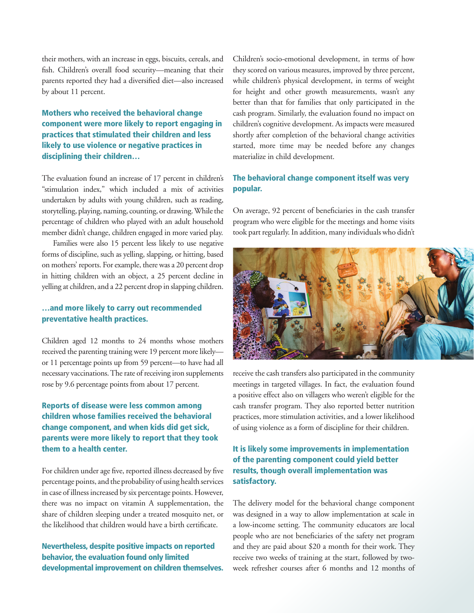their mothers, with an increase in eggs, biscuits, cereals, and fish. Children's overall food security—meaning that their parents reported they had a diversified diet—also increased by about 11 percent.

#### Mothers who received the behavioral change component were more likely to report engaging in practices that stimulated their children and less likely to use violence or negative practices in disciplining their children…

The evaluation found an increase of 17 percent in children's "stimulation index," which included a mix of activities undertaken by adults with young children, such as reading, storytelling, playing, naming, counting, or drawing. While the percentage of children who played with an adult household member didn't change, children engaged in more varied play.

Families were also 15 percent less likely to use negative forms of discipline, such as yelling, slapping, or hitting, based on mothers' reports. For example, there was a 20 percent drop in hitting children with an object, a 25 percent decline in yelling at children, and a 22 percent drop in slapping children.

#### …and more likely to carry out recommended preventative health practices.

Children aged 12 months to 24 months whose mothers received the parenting training were 19 percent more likely or 11 percentage points up from 59 percent—to have had all necessary vaccinations. The rate of receiving iron supplements rose by 9.6 percentage points from about 17 percent.

#### Reports of disease were less common among children whose families received the behavioral change component, and when kids did get sick, parents were more likely to report that they took them to a health center.

For children under age five, reported illness decreased by five percentage points, and the probability of using health services in case of illness increased by six percentage points. However, there was no impact on vitamin A supplementation, the share of children sleeping under a treated mosquito net, or the likelihood that children would have a birth certificate.

#### Nevertheless, despite positive impacts on reported behavior, the evaluation found only limited developmental improvement on children themselves.

Children's socio-emotional development, in terms of how they scored on various measures, improved by three percent, while children's physical development, in terms of weight for height and other growth measurements, wasn't any better than that for families that only participated in the cash program. Similarly, the evaluation found no impact on children's cognitive development. As impacts were measured shortly after completion of the behavioral change activities started, more time may be needed before any changes materialize in child development.

#### The behavioral change component itself was very popular.

On average, 92 percent of beneficiaries in the cash transfer program who were eligible for the meetings and home visits took part regularly. In addition, many individuals who didn't



receive the cash transfers also participated in the community meetings in targeted villages. In fact, the evaluation found a positive effect also on villagers who weren't eligible for the cash transfer program. They also reported better nutrition practices, more stimulation activities, and a lower likelihood of using violence as a form of discipline for their children.

#### It is likely some improvements in implementation of the parenting component could yield better results, though overall implementation was satisfactory.

The delivery model for the behavioral change component was designed in a way to allow implementation at scale in a low-income setting. The community educators are local people who are not beneficiaries of the safety net program and they are paid about \$20 a month for their work. They receive two weeks of training at the start, followed by twoweek refresher courses after 6 months and 12 months of